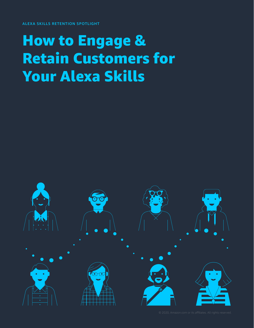ALEXA SKILLS RETENTION SPOTLIGHT

### How to Engage & Retain Customers for Your Alexa Skills

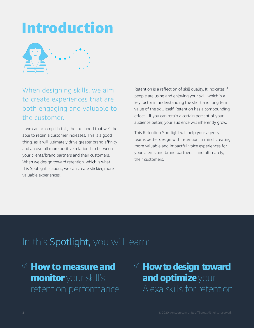## Introduction



### When designing skills, we aim to create experiences that are both engaging and valuable to the customer.

If we can accomplish this, the likelihood that we'll be able to retain a customer increases. This is a good thing, as it will ultimately drive greater brand affinity and an overall more positive relationship between your clients/brand partners and their customers. When we design toward retention, which is what this Spotlight is about, we can create stickier, more valuable experiences.

Retention is a reflection of skill quality. It indicates if people are using and enjoying your skill, which is a key factor in understanding the short and long term value of the skill itself. Retention has a compounding effect – if you can retain a certain percent of your audience better, your audience will inherently grow.

This Retention Spotlight will help your agency teams better design with retention in mind, creating more valuable and impactful voice experiences for your clients and brand partners – and ultimately, their customers.

### In this Spotlight, you will learn:

- $\mathscr{\ }$  How to measure and monitor your skill's
- $\textdegree$  How to design toward and optimize your Alexa skills for retention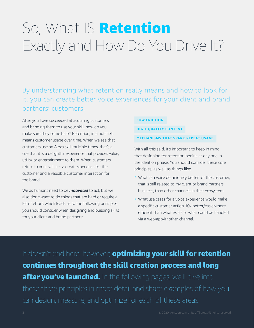# So, What IS Retention Exactly and How Do You Drive It?

By understanding what retention really means and how to look for it, you can create better voice experiences for your client and brand partners' customers.

After you have succeeded at acquiring customers and bringing them to use your skill, how do you make sure they come back? Retention, in a nutshell, means customer usage over time. When we see that customers use an Alexa skill multiple times, that's a cue that it is a delightful experience that provides value, utility, or entertainment to them. When customers return to your skill, it's a great experience for the customer and a valuable customer interaction for the brand.

We as humans need to be *motivated* to act, but we also don't want to do things that are hard or require a lot of effort, which leads us to the following principles you should consider when designing and building skills for your client and brand partners:

#### **LOW FRICTION**

#### **HIGH-QUALITY CONTENT**

#### **MECHANISMS THAT SPARK REPEAT USAGE**

With all this said, it's important to keep in mind that designing for retention begins at day one in the ideation phase. You should consider these core principles, as well as things like:

- ° What can voice do uniquely better for the customer, that is still related to my client or brand partners' business, than other channels in their ecosystem.
- ° What use cases for a voice experience would make a specific customer action 10x better/easier/more efficient than what exists or what could be handled via a web/app/another channel.

It doesn't end here, however; **optimizing your skill for retention** continues throughout the skill creation process and long after you've launched. In the following pages, we'll dive into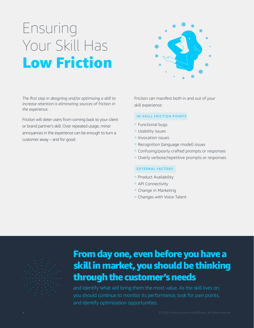# Ensuring Your Skill Has Low Friction



*The first step in designing and/or optimizing a skill to increase retention is eliminating sources of friction in the experience.* 

Friction will deter users from coming back to your client or brand partner's skill. Over repeated usage, minor annoyances in the experience can be enough to turn a customer away – and for good.

Friction can manifest both in and out of your skill experience:

#### **IN-SKILL FRICTION POINTS**

- ° Functional bugs
- ° Usability issues
- ° Invocation issues
- ° Recognition (language model) issues
- ° Confusing/poorly crafted prompts or responses
- ° Overly verbose/repetitive prompts or responses

#### **EXTERNAL FACTORS**

- ° Product Availability
- <sup>o</sup> API Connectivity
- ° Change in Marketing
- ° Changes with Voice Talent



### From day one, even before you have a skill in market, you should be thinking through the customer's needs

and identify what will bring them the most value. As the skill lives on, you should continue to monitor its performance, look for pain points, and identify optimization opportunities.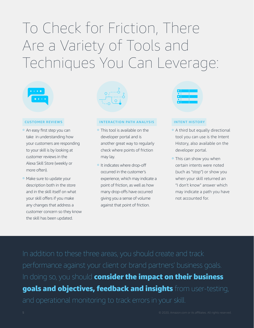# To Check for Friction, There Are a Variety of Tools and Techniques You Can Leverage:



#### **CUSTOMER REVIEWS**

- ° An easy first step you can take in understanding how your customers are responding to your skill is by looking at customer reviews in the Alexa Skill Store (weekly or more often).
- ° Make sure to update your description both in the store and in the skill itself on what your skill offers if you make any changes that address a customer concern so they know the skill has been updated.



#### **INTERACTION PATH ANALYSIS**

- ° This tool is available on the developer portal and is another great way to regularly check where points of friction may lay.
- ° It indicates where drop-off occurred in the customer's experience, which may indicate a point of friction, as well as how many drop-offs have occurred giving you a sense of volume against that point of friction.



#### **INTENT HISTORY**

- ° A third but equally directional tool you can use is the Intent History, also available on the developer portal.
- <sup>o</sup> This can show you when certain intents were noted (such as "stop") or show you when your skill returned an "I don't know" answer which may indicate a path you have not accounted for.

In doing so, you should consider the impact on their business goals and objectives, feedback and insights from user-testing,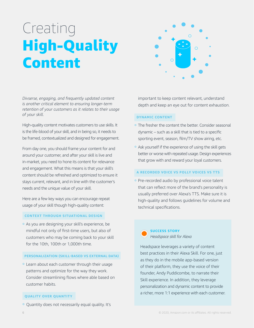## Creating High-Quality Content



*Divserse, engaging, and frequently updated content is another critical element to ensuring longer-term retention of your customers as it relates to their usage of your skill.* 

High-quality content motivates customers to use skills. It is the life-blood of your skill, and in being so, it needs to be framed, contextualized and designed for engagement.

From day one, you should frame your content for and around your customer, and after your skill is live and in-market, you need to hone its content for relevance and engagement. What this means is that your skill's content should be refreshed and optimized to ensure it stays current, relevant, and in line with the customer's needs and the unique value of your skill.

Here are a few key ways you can encourage repeat usage of your skill though high-quality content:

#### **CONTEXT THROUGH SITUATIONAL DESIGN**

° As you are designing your skill's experience, be mindful not only of first-time users, but also of customers who may be coming back to your skill for the 10th, 100th or 1,000th time.

#### **PERSONALIZATION (SKILL-BASED VS EXTERNAL DATA)**

° Learn about each customer through their usage patterns and optimize for the way they work. Consider streamlining flows where able based on customer habits.

#### **QUALITY OVER QUANTITY**

° Quantity does not necessarily equal quality. It's

important to keep content relevant, understand depth and keep an eye out for content exhaustion.

#### **DYNAMIC CONTENT**

- ° The fresher the content the better. Consider seasonal dynamic – such as a skill that is tied to a specific sporting event, season, film/TV show airing, etc.
- ° Ask yourself if the experience of using the skill gets better or worse with repeated usage. Design experiences that grow with and reward your loyal customers.

#### **A RECORDED VOICE VS POLLY VOICES VS TTS**

° Pre-recorded audio by professional voice talent that can reflect more of the brand's personality is usually preferred over Alexa's TTS. Make sure it is high-quality and follows guidelines for volume and technical specifications.



### *Headspace skill for Alexa*

Headspace leverages a variety of content best practices in their Alexa Skill. For one, just as they do in the mobile app-based version of their platform, they use the voice of their founder, Andy Puddicombe, to narrate their Skill experience. In addition, they leverage personalization and dynamic content to provide a richer, more 1:1 experience with each customer.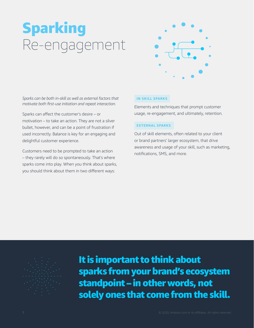# Sparking Re-engagement



*Sparks can be both in-skill as well as external factors that motivate both first-use initiation and repeat interaction.*

Sparks can affect the customer's desire – or motivation – to take an action. They are not a silver bullet, however, and can be a point of frustration if used incorrectly. Balance is key for an engaging and delightful customer experience.

Customers need to be prompted to take an action – they rarely will do so spontaneously. That's where sparks come into play. When you think about sparks, you should think about them in two different ways:

#### **IN SKILL SPARKS**

Elements and techniques that prompt customer usage, re-engagement, and ultimately, retention.

#### **EXTERNAL SPARKS**

Out of skill elements, often related to your client or brand partners' larger ecosystem, that drive awareness and usage of your skill, such as marketing, notifications, SMS, and more.

It is important to think about sparks from your brand's ecosystem standpoint – in other words, not solely ones that come from the skill.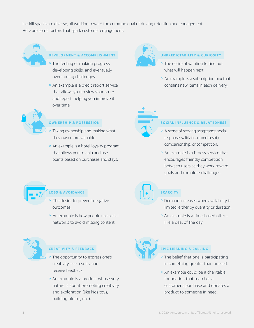In-skill sparks are diverse, all working toward the common goal of driving retention and engagement. Here are some factors that spark customer engagement:



#### **DEVELOPMENT & ACCOMPLISHMENT**

- The feeling of making progress, developing skills, and eventually overcoming challenges.
- ° An example is a credit report service that allows you to view your score and report, helping you improve it over time.



#### **OWNERSHIP & POSSESSION**

- ° Taking ownership and making what they own more valuable.
- ° An example is a hotel loyalty program that allows you to gain and use points based on purchases and stays.



#### **UNPREDICTABILITY & CURIOSITY**

- <sup>o</sup> The desire of wanting to find out what will happen next.
- ° An example is a subscription box that contains new items in each delivery.



#### **SOCIAL INFLUENCE & RELATEDNESS**

- ° A sense of seeking acceptance, social response, validation, mentorship, companionship, or competition.
- ° An example is a fitness service that encourages friendly competition between users as they work toward goals and complete challenges.



#### **LOSS & AVOIDANCE**

- <sup>o</sup> The desire to prevent negative outcomes.
- ° An example is how people use social networks to avoid missing content.



#### **CREATIVITY & FEEDBACK**

- The opportunity to express one's creativity, see results, and receive feedback.
- An example is a product whose very nature is about promoting creativity and exploration (like kids toys, building blocks, etc.).



#### **SCARCITY**

- ° Demand increases when availability is limited, either by quantity or duration.
- ° An example is a time-based offer like a deal of the day.



#### **EPIC MEANING & CALLING**

- The belief that one is participating in something greater than oneself.
- ° An example could be a charitable foundation that matches a customer's purchase and donates a product to someone in need.